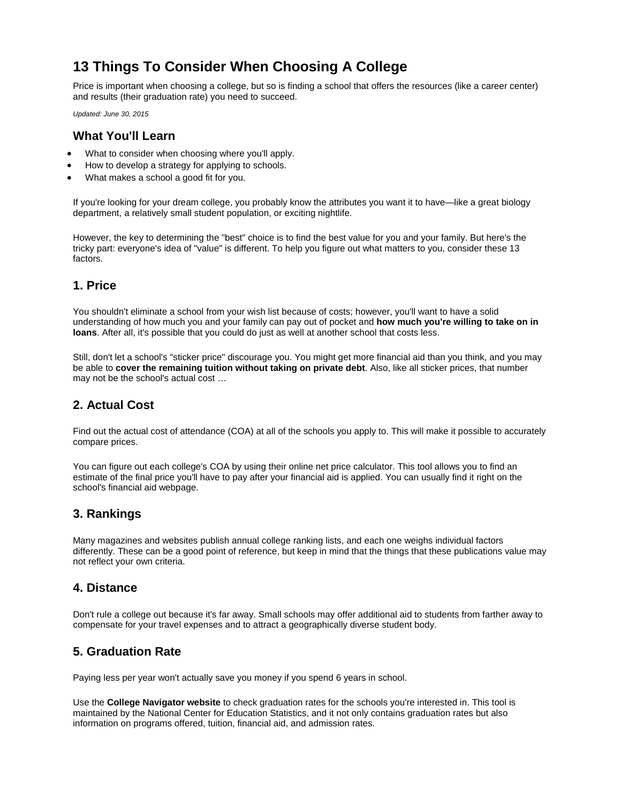# **13 Things To Consider When Choosing A College**

Price is important when choosing a college, but so is finding a school that offers the resources (like a career center) and results (their graduation rate) you need to succeed.

*Updated: June 30, 2015*

#### **What You'll Learn**

- What to consider when choosing where you'll apply.
- How to develop a strategy for applying to schools.
- What makes a school a good fit for you.

If you're looking for your dream college, you probably know the attributes you want it to have—like a great biology department, a relatively small student population, or exciting nightlife.

However, the key to determining the "best" choice is to find the best value for you and your family. But here's the tricky part: everyone's idea of "value" is different. To help you figure out what matters to you, consider these 13 factors.

#### **1. Price**

You shouldn't eliminate a school from your wish list because of costs; however, you'll want to have a solid understanding of how much you and your family can pay out of pocket and **[how much you're willing to take on in](https://www.saltmoney.org/content/media/Article/how-much-should-i-borrow-for-college/_/R-101-16697)  [loans](https://www.saltmoney.org/content/media/Article/how-much-should-i-borrow-for-college/_/R-101-16697)**. After all, it's possible that you could do just as well at another school that costs less.

Still, don't let a school's "sticker price" discourage you. You might get more financial aid than you think, and you may be able to **[cover the remaining tuition without taking on private debt](https://www.saltmoney.org/content/media/Article/how-to-cover-a-tuition-gap-without-private-loans/_/R-101-21406)**. Also, like all sticker prices, that number may not be the school's actual cost …

# **2. Actual Cost**

Find out the actual [cost of attendance](https://www.saltmoney.org/content/media/Article/13-things-to-consider-when-choosing-a-college/_/R-101-16666) (COA) at all of the schools you apply to. This will make it possible to accurately compare prices.

You can figure out each college's COA by using their online net price calculator. This tool allows you to find an estimate of the final price you'll have to pay after your financial aid is applied. You can usually find it right on the school's financial aid webpage.

#### **3. Rankings**

Many magazines and websites publish annual college ranking lists, and each one weighs individual factors differently. These can be a good point of reference, but keep in mind that the things that these publications value may not reflect your own criteria.

#### **4. Distance**

Don't rule a college out because it's far away. Small schools may offer additional aid to students from farther away to compensate for your travel expenses and to attract a geographically diverse student body.

# **5. Graduation Rate**

Paying less per year won't actually save you money if you spend 6 years in school.

Use the **[College Navigator website](http://nces.ed.gov/collegenavigator/)** to check graduation rates for the schools you're interested in. This tool is maintained by the National Center for Education Statistics, and it not only contains graduation rates but also information on programs offered, tuition, financial aid, and admission rates.